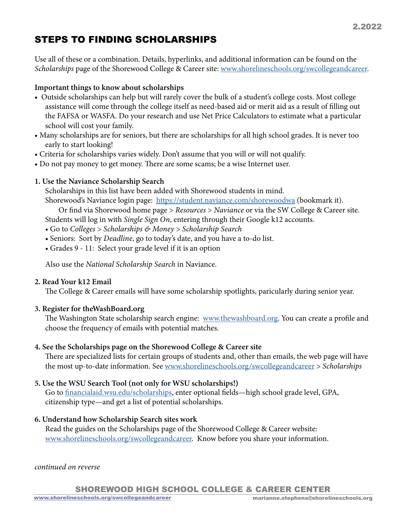# STEPS TO FINDING SCHOLARSHIPS

Use all of these or a combination. Details, hyperlinks, and additional information can be found on the *Scholarships* page of the Shorewood College & Career site: [www.shorelineschools.org/swcollegeandcareer.](http://www.shorelineschools.org/swcollegeandcareer)

## Important things to know about scholarships

- Outside scholarships can help but will rarely cover the bulk of a student's college costs. Most college assistance will come through the college itself as need-based aid or merit aid as a result of filling out the FAFSA or WASFA. Do your research and use Net Price Calculators to estimate what a particular school will cost your family.
- Many scholarships are for seniors, but there are scholarships for all high school grades. It is never too early to start looking!
- Criteria for scholarships varies widely. Don't assume that you will or will not qualify.
- Do not pay money to get money. There are some scams; be a wise Internet user.

## 1. Use the Naviance Scholarship Search

Scholarships in this list have been added with Shorewood students in mind.

Shorewood's Naviance login page: https://student.naviance.com/shorewoodwa (bookmark it).

 Or find via Shorewood home page > *Resources* > *Naviance* or via the SW College & Career site. Students will log in with *Single Sign On*, entering through their Google k12 accounts.

- Go to *Colleges* > *Scholarships & Money* > *Scholarship Search*
- Seniors: Sort by *Deadline*, go to today's date, and you have a to-do list.
- Grades 9 11: Select your grade level if it is an option

Also use the *National Scholarship Search* in Naviance.

#### 2. Read Your k12 Email

The College & Career emails will have some scholarship spotlights, paricularly during senior year.

# 3. Register for theWashBoard.org

The Washington State scholarship search engine: [www.thewashboard.org](http://www.thewashboard.org). You can create a profile and choose the frequency of emails with potential matches.

# 4. See the Scholarships page on the Shorewood College & Career site

There are specialized lists for certain groups of students and, other than emails, the web page will have the most up-to-date information. See [www.shorelineschools.org/swcollegeandcareer](http://www.shorelineschools.org/swcollegeandcareer) > *Scholarships*

# 5. Use the WSU Search Tool (not only for WSU scholarships!)

Go to [financialaid.wsu.edu/scholarships](http://financialaid.wsu.edu/scholarships), enter optional fields—high school grade level, GPA, citizenship type—and get a list of potential scholarships.

# 6. Understand how Scholarship Search sites work

Read the guides on the Scholarships page of the Shorewood College & Career website: [www.shorelineschools.org/swcollegeandcareer](http://www.shorelineschools.org/swcollegeandcareer). Know before you share your information.

#### *continued on reverse*

SHOREWOOD HIGH SCHOOL COLLEGE & CAREER CENTER